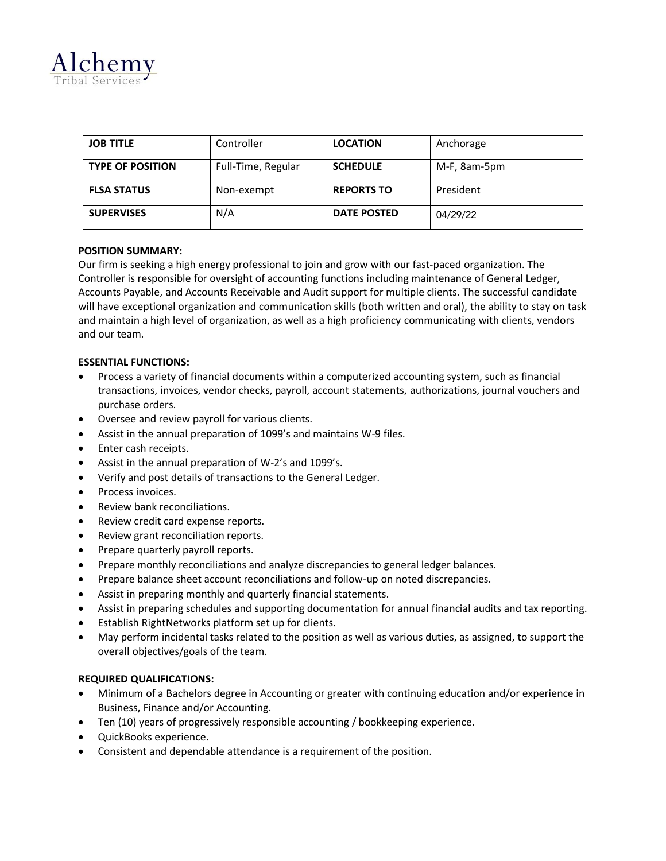

| <b>JOB TITLE</b>        | Controller         | <b>LOCATION</b>   | Anchorage    |
|-------------------------|--------------------|-------------------|--------------|
| <b>TYPE OF POSITION</b> | Full-Time, Regular | <b>SCHEDULE</b>   | M-F, 8am-5pm |
| <b>FLSA STATUS</b>      | Non-exempt         | <b>REPORTS TO</b> | President    |
| <b>SUPERVISES</b>       | N/A                | DATE POSTED       | 04/29/22     |

# **POSITION SUMMARY:**

Our firm is seeking a high energy professional to join and grow with our fast-paced organization. The Controller is responsible for oversight of accounting functions including maintenance of General Ledger, Accounts Payable, and Accounts Receivable and Audit support for multiple clients. The successful candidate will have exceptional organization and communication skills (both written and oral), the ability to stay on task and maintain a high level of organization, as well as a high proficiency communicating with clients, vendors and our team.

## **ESSENTIAL FUNCTIONS:**

- Process a variety of financial documents within a computerized accounting system, such as financial transactions, invoices, vendor checks, payroll, account statements, authorizations, journal vouchers and purchase orders.
- Oversee and review payroll for various clients.
- Assist in the annual preparation of 1099's and maintains W-9 files.
- Enter cash receipts.
- Assist in the annual preparation of W-2's and 1099's.
- Verify and post details of transactions to the General Ledger.
- Process invoices.
- Review bank reconciliations.
- Review credit card expense reports.
- Review grant reconciliation reports.
- Prepare quarterly payroll reports.
- Prepare monthly reconciliations and analyze discrepancies to general ledger balances.
- Prepare balance sheet account reconciliations and follow-up on noted discrepancies.
- Assist in preparing monthly and quarterly financial statements.
- Assist in preparing schedules and supporting documentation for annual financial audits and tax reporting.
- Establish RightNetworks platform set up for clients.
- May perform incidental tasks related to the position as well as various duties, as assigned, to support the overall objectives/goals of the team.

## **REQUIRED QUALIFICATIONS:**

- Minimum of a Bachelors degree in Accounting or greater with continuing education and/or experience in Business, Finance and/or Accounting.
- Ten (10) years of progressively responsible accounting / bookkeeping experience.
- QuickBooks experience.
- Consistent and dependable attendance is a requirement of the position.